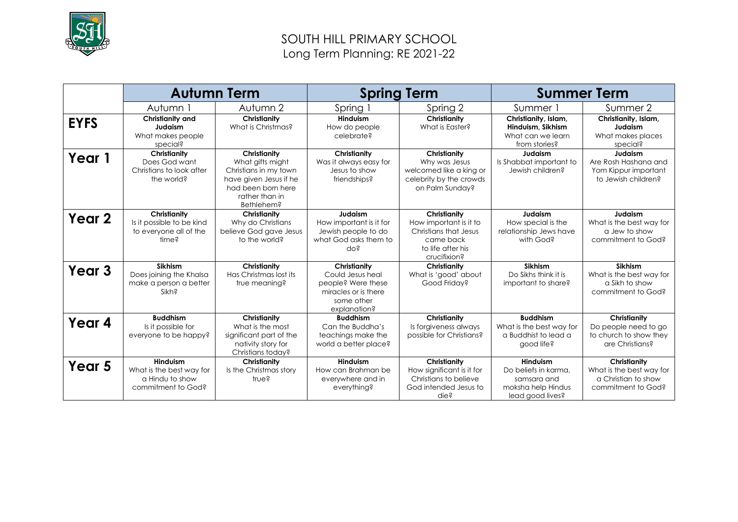

# SOUTH HILL PRIMARY SCHOOL Long Term Planning: RE 2021-22

|                   | <b>Autumn Term</b>                                                            |                                                                                                                                           | <b>Spring Term</b>                                                                                           |                                                                                                                   | <b>Summer Term</b>                                                                        |                                                                                       |
|-------------------|-------------------------------------------------------------------------------|-------------------------------------------------------------------------------------------------------------------------------------------|--------------------------------------------------------------------------------------------------------------|-------------------------------------------------------------------------------------------------------------------|-------------------------------------------------------------------------------------------|---------------------------------------------------------------------------------------|
|                   | Autumn 1                                                                      | Autumn 2                                                                                                                                  | Spring 1                                                                                                     | Spring 2                                                                                                          | Summer 1                                                                                  | Summer 2                                                                              |
| <b>EYFS</b>       | Christianity and<br>Judaism<br>What makes people<br>special?                  | Christianity<br>What is Christmas?                                                                                                        | <b>Hinduism</b><br>How do people<br>celebrate?                                                               | Christianity<br>What is Easter?                                                                                   | Christianity, Islam,<br>Hinduism, Sikhism<br>What can we learn<br>from stories?           | Christianity, Islam,<br>Judaism<br>What makes places<br>special?                      |
| Year 1            | Christianity<br>Does God want<br>Christians to look after<br>the world?       | Christianity<br>What gifts might<br>Christians in my town<br>have given Jesus if he<br>had been born here<br>rather than in<br>Bethlehem? | Christianity<br>Was it always easy for<br>Jesus to show<br>friendships?                                      | Christianity<br>Why was Jesus<br>welcomed like a king or<br>celebrity by the crowds<br>on Palm Sunday?            | Judaism<br>Is Shabbat important to<br>Jewish children?                                    | Judaism<br>Are Rosh Hashana and<br>Yom Kippur important<br>to Jewish children?        |
| Year 2            | Christianity<br>Is it possible to be kind<br>to everyone all of the<br>time?  | Christianity<br>Why do Christians<br>believe God gave Jesus<br>to the world?                                                              | Judaism<br>How important is it for<br>Jewish people to do<br>what God asks them to<br>do?                    | Christianity<br>How important is it to<br>Christians that Jesus<br>came back<br>to life after his<br>crucifixion? | Judaism<br>How special is the<br>relationship Jews have<br>with God?                      | Judaism<br>What is the best way for<br>a Jew to show<br>commitment to God?            |
| Year <sub>3</sub> | <b>Sikhism</b><br>Does joining the Khalsa<br>make a person a better<br>Sikh?  | Christianity<br>Has Christmas lost its<br>true meaning?                                                                                   | Christianity<br>Could Jesus heal<br>people? Were these<br>miracles or is there<br>some other<br>explanation? | Christianity<br>What is 'good' about<br>Good Friday?                                                              | Sikhism<br>Do Sikhs think it is<br>important to share?                                    | <b>Sikhism</b><br>What is the best way for<br>a Sikh to show<br>commitment to God?    |
| Year 4            | <b>Buddhism</b><br>Is it possible for<br>everyone to be happy?                | Christianity<br>What is the most<br>significant part of the<br>nativity story for<br>Christians today?                                    | <b>Buddhism</b><br>Can the Buddha's<br>teachings make the<br>world a better place?                           | Christianity<br>Is forgiveness always<br>possible for Christians?                                                 | <b>Buddhism</b><br>What is the best way for<br>a Buddhist to lead a<br>good life?         | Christianity<br>Do people need to go<br>to church to show they<br>are Christians?     |
| Year 5            | Hinduism<br>What is the best way for<br>a Hindu to show<br>commitment to God? | Christianity<br>Is the Christmas story<br>true?                                                                                           | <b>Hinduism</b><br>How can Brahman be<br>everywhere and in<br>everything?                                    | Christianity<br>How significant is it for<br>Christians to believe<br>God intended Jesus to<br>die?               | Hinduism<br>Do beliefs in karma.<br>samsara and<br>moksha help Hindus<br>lead good lives? | Christianity<br>What is the best way for<br>a Christian to show<br>commitment to God? |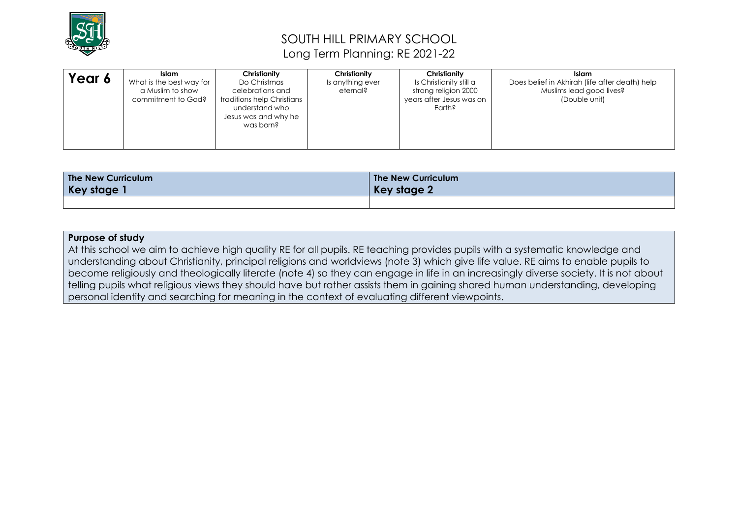

# SOUTH HILL PRIMARY SCHOOL Long Term Planning: RE 2021-22

| Year 6 | Islam<br>What is the best way for<br>a Muslim to show<br>commitment to God? | Christianity<br>Do Christmas<br>celebrations and<br>traditions help Christians<br>understand who<br>Jesus was and why he<br>was born? | Christianity<br>Is anything ever<br>eternal? | Christianity<br>Is Christianity still a<br>strong religion 2000<br>years after Jesus was on<br>Earth? | <b>Islam</b><br>Does belief in Akhirah (life after death) help<br>Muslims lead good lives?<br>(Double unit) |
|--------|-----------------------------------------------------------------------------|---------------------------------------------------------------------------------------------------------------------------------------|----------------------------------------------|-------------------------------------------------------------------------------------------------------|-------------------------------------------------------------------------------------------------------------|
|--------|-----------------------------------------------------------------------------|---------------------------------------------------------------------------------------------------------------------------------------|----------------------------------------------|-------------------------------------------------------------------------------------------------------|-------------------------------------------------------------------------------------------------------------|

| The New Curriculum | The New Curriculum |
|--------------------|--------------------|
| Key stage          | <b>Key stage 2</b> |
|                    |                    |

### **Purpose of study**

At this school we aim to achieve high quality RE for all pupils. RE teaching provides pupils with a systematic knowledge and understanding about Christianity, principal religions and worldviews (note 3) which give life value. RE aims to enable pupils to become religiously and theologically literate (note 4) so they can engage in life in an increasingly diverse society. It is not about telling pupils what religious views they should have but rather assists them in gaining shared human understanding, developing personal identity and searching for meaning in the context of evaluating different viewpoints.